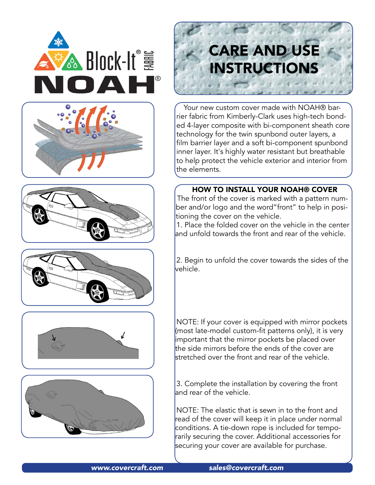











# **CARE AND USE INSTRUCTIONS**

Your new custom cover made with NOAH® barrier fabric from Kimberly-Clark uses high-tech bonded 4-layer composite with bi-component sheath core technology for the twin spunbond outer layers, a film barrier layer and a soft bi-component spunbond inner layer. It's highly water resistant but breathable to help protect the vehicle exterior and interior from the elements.

# HOW TO INSTALL YOUR NOAH® COVER

The front of the cover is marked with a pattern number and/or logo and the word"front" to help in positioning the cover on the vehicle.

1. Place the folded cover on the vehicle in the center and unfold towards the front and rear of the vehicle.

2. Begin to unfold the cover towards the sides of the vehicle.

NOTE: If your cover is equipped with mirror pockets (most late-model custom-fit patterns only), it is very important that the mirror pockets be placed over the side mirrors before the ends of the cover are stretched over the front and rear of the vehicle.

3. Complete the installation by covering the front and rear of the vehicle.

NOTE: The elastic that is sewn in to the front and read of the cover will keep it in place under normal conditions. A tie-down rope is included for temporarily securing the cover. Additional accessories for securing your cover are available for purchase.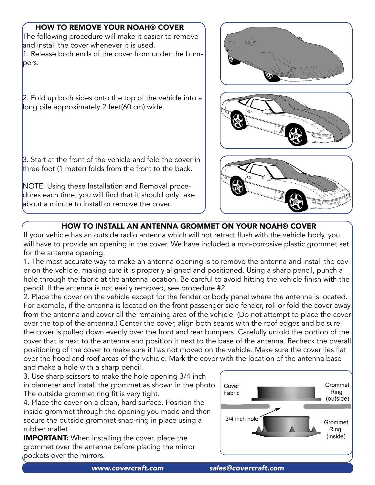# HOW TO REMOVE YOUR NOAH® COVER

The following procedure will make it easier to remove and install the cover whenever it is used. 1. Release both ends of the cover from under the bumpers.

2. Fold up both sides onto the top of the vehicle into a long pile approximately 2 feet(60 cm) wide.

3. Start at the front of the vehicle and fold the cover in three foot (1 meter) folds from the front to the back.

NOTE: Using these Installation and Removal procedures each time, you will find that it should only take about a minute to install or remove the cover.







## HOW TO INSTALL AN ANTENNA GROMMET ON YOUR NOAH® COVER

If your vehicle has an outside radio antenna which will not retract flush with the vehicle body, you will have to provide an opening in the cover. We have included a non-corrosive plastic grommet set for the antenna opening.

1. The most accurate way to make an antenna opening is to remove the antenna and install the cover on the vehicle, making sure it is properly aligned and positioned. Using a sharp pencil, punch a hole through the fabric at the antenna location. Be careful to avoid hitting the vehicle finish with the pencil. If the antenna is not easily removed, see procedure #2.

2. Place the cover on the vehicle except for the fender or body panel where the antenna is located. For example, if the antenna is located on the front passenger side fender, roll or fold the cover away from the antenna and cover all the remaining area of the vehicle. (Do not attempt to place the cover over the top of the antenna.) Center the cover, align both seams with the roof edges and be sure the cover is pulled down evenly over the front and rear bumpers. Carefully unfold the portion of the cover that is next to the antenna and position it next to the base of the antenna. Recheck the overall positioning of the cover to make sure it has not moved on the vehicle. Make sure the cover lies flat over the hood and roof areas of the vehicle. Mark the cover with the location of the antenna base and make a hole with a sharp pencil.

3. Use sharp scissors to make the hole opening 3/4 inch in diameter and install the grommet as shown in the photo. The outside grommet ring fit is very tight.

4. Place the cover on a clean, hard surface. Position the inside grommet through the opening you made and then secure the outside grommet snap-ring in place using a rubber mallet.

**IMPORTANT:** When installing the cover, place the grommet over the antenna before placing the mirror pockets over the mirrors.

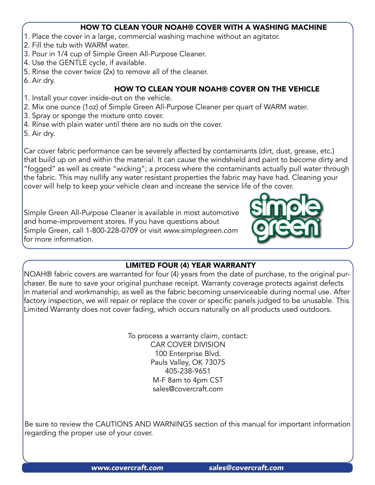#### HOW TO CLEAN YOUR NOAH® COVER WITH A WASHING MACHINE

- 1. Place the cover in a large, commercial washing machine without an agitator.
- 2. Fill the tub with WARM water.
- 3. Pour in 1/4 cup of Simple Green All-Purpose Cleaner.
- 4. Use the GENTLE cycle, if available.
- 5. Rinse the cover twice (2x) to remove all of the cleaner.
- 6. Air dry.

## HOW TO CLEAN YOUR NOAH® COVER ON THE VEHICLE

- 1. Install your cover inside-out on the vehicle.
- 2. Mix one ounce (1oz) of Simple Green All-Purpose Cleaner per quart of WARM water.
- 3. Spray or sponge the mixture onto cover.
- 4. Rinse with plain water until there are no suds on the cover.
- 5. Air dry.

Car cover fabric performance can be severely affected by contaminants (dirt, dust, grease, etc.) that build up on and within the material. It can cause the windshield and paint to become dirty and "fogged" as well as create "wicking"; a process where the contaminants actually pull water through the fabric. This may nullify any water resistant properties the fabric may have had. Cleaning your cover will help to keep your vehicle clean and increase the service life of the cover.

Simple Green All-Purpose Cleaner is available in most automotive and home-improvement stores. If you have questions about Simple Green, call 1-800-228-0709 or visit *<www.simplegreen.com>* for more information.



# LIMITED FOUR (4) YEAR WARRANTY

NOAH® fabric covers are warranted for four (4) years from the date of purchase, to the original purchaser. Be sure to save your original purchase receipt. Warranty coverage protects against defects in material and workmanship, as well as the fabric becoming unserviceable during normal use. After factory inspection, we will repair or replace the cover or specific panels judged to be unusable. This Limited Warranty does not cover fading, which occurs naturally on all products used outdoors.

> To process a warranty claim, contact: CAR COVER DIVISION 100 Enterprise Blvd. Pauls Valley, OK 73075 405-238-9651 M-F 8am to 4pm CST [sales@covercraft.com](mailto:sales@covercraft.com)

Be sure to review the CAUTIONS AND WARNINGS section of this manual for important information regarding the proper use of your cover.